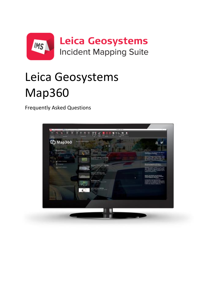

# Leica Geosystems lets users import, process, analyze, /lankhll Map360

Frequently Asked Questions

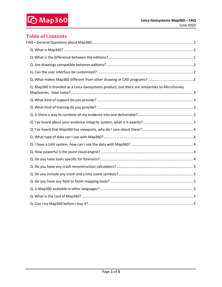# **Table of Contents**

| Q. Map360 is branded as a Leica Geosystems product, but there are similarities to MicroSurvey |  |
|-----------------------------------------------------------------------------------------------|--|
|                                                                                               |  |
|                                                                                               |  |
|                                                                                               |  |
|                                                                                               |  |
|                                                                                               |  |
|                                                                                               |  |
|                                                                                               |  |
|                                                                                               |  |
|                                                                                               |  |
|                                                                                               |  |
|                                                                                               |  |
|                                                                                               |  |
|                                                                                               |  |
|                                                                                               |  |
|                                                                                               |  |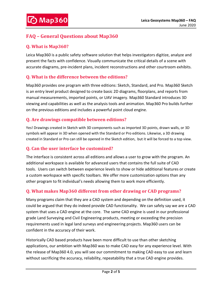# <span id="page-2-0"></span>**FAQ – General Questions about Map360**

## <span id="page-2-1"></span>**Q. What is Map360?**

Leica Map360 is a public safety software solution that helps investigators digitize, analyze and present the facts with confidence. Visually communicate the critical details of a scene with accurate diagrams, pre-incident plans, incident reconstructions and other courtroom exhibits.

#### <span id="page-2-2"></span>**Q. What is the difference between the editions?**

Map360 provides one program with three editions: Sketch, Standard, and Pro. Map360 Sketch is an entry level product designed to create basic 2D diagrams, floorplans, and reports from manual measurements, imported points, or UAV imagery. Map360 Standard introduces 3D viewing and capabilities as well as the analysis tools and animation. Map360 Pro builds further on the previous editions and includes a powerful point cloud engine.

### <span id="page-2-3"></span>**Q. Are drawings compatible between editions?**

Yes! Drawings created in Sketch with 3D components such as imported 3D points, drawn walls, or 3D symbols will appear in 3D when opened with the Standard or Pro editions. Likewise, a 3D drawing created in Standard or Pro can still be opened in the Sketch edition, but it will be forced to a top view.

#### <span id="page-2-4"></span>**Q. Can the user interface be customized?**

The interface is consistent across all editions and allows a user to grow with the program. An additional workspace is available for advanced users that contains the full suite of CAD tools. Users can switch between experience levels to show or hide additional features or create a custom workspace with specific toolbars. We offer more customization options than any other program to fit individual's needs allowing them to work more efficiently.

#### <span id="page-2-5"></span>**Q. What makes Map360 different from other drawing or CAD programs?**

Many programs claim that they are a CAD system and depending on the definition used, it could be argued that they do indeed provide CAD functionality. We can safely say we are a CAD system that uses a CAD engine at the core. The same CAD engine is used in our professional grade Land Surveying and Civil Engineering products, meeting or exceeding the precision requirements used in legal land surveys and engineering projects. Map360 users can be confident in the accuracy of their work.

Historically CAD based products have been more difficult to use than other sketching applications, our ambition with Map360 was to make CAD easy for any experience level. With the release of Map360 4.0, you will see our commitment to making CAD easy to use and learn without sacrificing the accuracy, reliability, repeatability that a true CAD engine provides.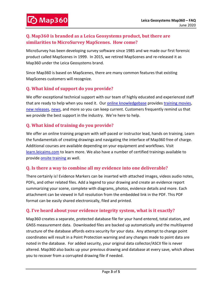## <span id="page-3-0"></span>**Q. Map360 is branded as a Leica Geosystems product, but there are similarities to MicroSurvey MapScenes. How come?**

MicroSurvey has been developing survey software since 1985 and we made our first forensic product called MapScenes in 1999. In 2015, we retired MapScenes and re-released it as Map360 under the Leica Geosystems brand.

Since Map360 is based on MapScenes, there are many common features that existing MapScenes customers will recognize.

#### <span id="page-3-1"></span>**Q. What kind of support do you provide?**

We offer exceptional technical support with our team of highly educated and experienced staff that are ready to help when you need it. Our [online knowledgebase](http://help.leicaims.com/) provide[s training movies,](http://ims.microsurvey.com/index.php?/Knowledgebase/Article/View/23) [new releases,](http://ims.microsurvey.com/index.php?/Knowledgebase/Article/View/1/0/leica-geosystems-incident-mapping-suite-release-history) [news,](http://ims.microsurvey.com/index.php?/News/List) and more so you can keep current. Customers frequently remind us that we provide the best support in the industry. We're here to help.

#### <span id="page-3-2"></span>**Q. What kind of training do you provide?**

We offer an online training program with self-paced or instructor lead, hands on training. Learn the fundamentals of creating drawings and navigating the interface of Map360 free of charge. Additional courses are available depending on your equipment and workflows. Visit [learn.leicaims.com](https://learn.leicaims.com/) to learn more. We also have a number of certified trainings available to provide **onsite training** as well.

#### <span id="page-3-3"></span>**Q. Is there a way to combine all my evidence into one deliverable?**

There certainly is! Evidence Markers can be inserted with attached images, videos audio notes, PDFs, and other related files. Add a legend to your drawing and create an evidence report summarizing your scene, complete with diagrams, photos, evidence details and more. Each attachment can be viewed in full resolution from the embedded link in the PDF. This PDF format can be easily shared electronically, filed and printed.

#### <span id="page-3-4"></span>**Q. I've heard about your evidence integrity system, what is it exactly?**

Map360 creates a separate, protected database file for your hand entered, total station, and GNSS measurement data. Downloaded files are backed up automatically and the multilayered structure of the database affords extra security for your data. Any attempt to change point coordinates will result in a Point Protection warning and any changes made to point data are noted in the database. For added security, your original data collector/ASCII file is never altered. Map360 also backs up your previous drawing and database at every save, which allows you to recover from a corrupted drawing file if needed.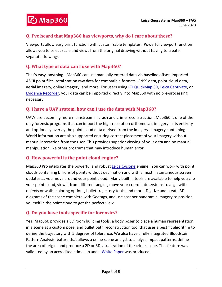#### <span id="page-4-0"></span>**Q. I've heard that Map360 has viewports, why do I care about these?**

Viewports allow easy print function with customizable templates. Powerful viewport function allows you to select scale and views from the original drawing without having to create separate drawings.

#### <span id="page-4-1"></span>**Q. What type of data can I use with Map360?**

That's easy, anything! Map360 can use manually entered data via baseline offset, imported ASCII point files, total station raw data for compatible formats, GNSS data, point cloud data, aerial imagery, online imagery, and more. For users using **LTI QuickMap 3D**, [Leica Captivate,](http://leica-geosystems.com/products/total-stations/software/leica-captivate) or [Evidence Recorder,](http://ims.leica-geosystems.com/ims-evidencerecorder) your data can be imported directly into Map360 with no pre-processing necessary.

#### <span id="page-4-2"></span>**Q. I have a UAV system, how can I use the data with Map360?**

UAVs are becoming more mainstream in crash and crime reconstruction. Map360 is one of the only forensic programs that can import the high-resolution orthomosaic imagery in its entirety and optionally overlay the point cloud data derived from the imagery. Imagery containing World information are also supported ensuring correct placement of your imagery without manual interaction from the user. This provides superior viewing of your data and no manual manipulation like other programs that may introduce human error.

#### <span id="page-4-3"></span>**Q. How powerful is the point cloud engine?**

Map360 Pro integrates the powerful and robust [Leica Cyclone](http://leica-geosystems.com/products/laser-scanners/software/leica-cyclone) engine. You can work with point clouds containing billions of points without decimation and with almost instantaneous screen updates as you move around your point cloud. Many built in tools are available to help you clip your point cloud, view it from different angles, move your coordinate systems to align with objects or walls, coloring options, bullet trajectory tools, and more. Digitize and create 3D diagrams of the scene complete with Geotags, and use scanner panoramic imagery to position yourself in the point cloud to get the perfect view.

#### <span id="page-4-4"></span>**Q. Do you have tools specific for forensics?**

Yes! Map360 provides a 3D room building tools, a body poser to place a human representation in a scene at a custom pose, and bullet path reconstruction tool that uses a best fit algorithm to define the trajectory with 5 degrees of tolerance. We also have a fully integrated Bloodstain Pattern Analysis feature that allows a crime scene analyst to analyze impact patterns, define the area of origin, and produce a 2D or 3D visualization of the crime scene. This feature was validated by an accredited crime lab and a [White Paper](https://psg.leica-geosystems.us/2020/02/03/new-white-paper-details-validation-process-for-map360-bloodstain-pattern-analysis-workflow/) was produced.